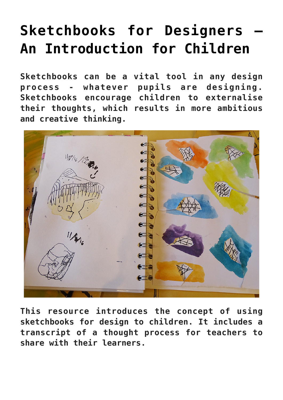## **[Sketchbooks for Designers –](https://www.accessart.org.uk/sketchbooks-for-design-or-thinking/) [An Introduction for Children](https://www.accessart.org.uk/sketchbooks-for-design-or-thinking/)**

**Sketchbooks can be a vital tool in any design process - whatever pupils are designing. Sketchbooks encourage children to externalise their thoughts, which results in more ambitious and creative thinking.**

11/16/12/26  $\epsilon$ ⋐

**This resource introduces the concept of using sketchbooks for design to children. It includes a transcript of a thought process for teachers to share with their learners.**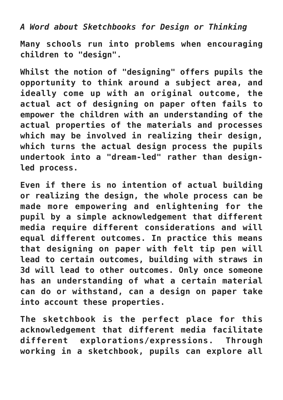*A Word about Sketchbooks for Design or Thinking*

**Many schools run into problems when encouraging children to "design".**

**Whilst the notion of "designing" offers pupils the opportunity to think around a subject area, and ideally come up with an original outcome, the actual act of designing on paper often fails to empower the children with an understanding of the actual properties of the materials and processes which may be involved in realizing their design, which turns the actual design process the pupils undertook into a "dream-led" rather than designled process.**

**Even if there is no intention of actual building or realizing the design, the whole process can be made more empowering and enlightening for the pupil by a simple acknowledgement that different media require different considerations and will equal different outcomes. In practice this means that designing on paper with felt tip pen will lead to certain outcomes, building with straws in 3d will lead to other outcomes. Only once someone has an understanding of what a certain material can do or withstand, can a design on paper take into account these properties.**

**The sketchbook is the perfect place for this acknowledgement that different media facilitate different explorations/expressions. Through working in a sketchbook, pupils can explore all**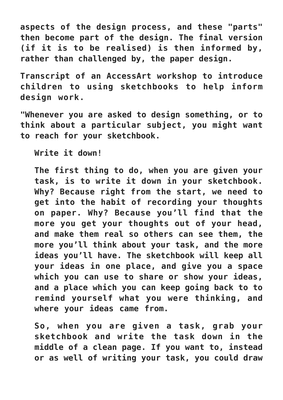**aspects of the design process, and these "parts" then become part of the design. The final version (if it is to be realised) is then informed by, rather than challenged by, the paper design.**

**Transcript of an AccessArt workshop to introduce children to using sketchbooks to help inform design work.**

**"Whenever you are asked to design something, or to think about a particular subject, you might want to reach for your sketchbook.**

**Write it down!**

**The first thing to do, when you are given your task, is to write it down in your sketchbook. Why? Because right from the start, we need to get into the habit of recording your thoughts on paper. Why? Because you'll find that the more you get your thoughts out of your head, and make them real so others can see them, the more you'll think about your task, and the more ideas you'll have. The sketchbook will keep all your ideas in one place, and give you a space which you can use to share or show your ideas, and a place which you can keep going back to to remind yourself what you were thinking, and where your ideas came from.**

**So, when you are given a task, grab your sketchbook and write the task down in the middle of a clean page. If you want to, instead or as well of writing your task, you could draw**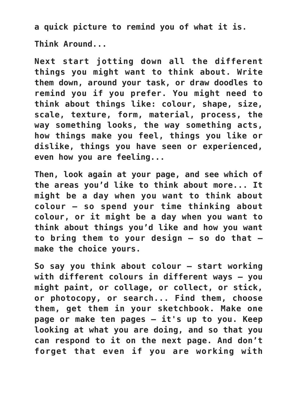**a quick picture to remind you of what it is.**

**Think Around...**

**Next start jotting down all the different things you might want to think about. Write them down, around your task, or draw doodles to remind you if you prefer. You might need to think about things like: colour, shape, size, scale, texture, form, material, process, the way something looks, the way something acts, how things make you feel, things you like or dislike, things you have seen or experienced, even how you are feeling...**

**Then, look again at your page, and see which of the areas you'd like to think about more... It might be a day when you want to think about colour – so spend your time thinking about colour, or it might be a day when you want to think about things you'd like and how you want to bring them to your design – so do that – make the choice yours.**

**So say you think about colour – start working with different colours in different ways – you might paint, or collage, or collect, or stick, or photocopy, or search... Find them, choose them, get them in your sketchbook. Make one page or make ten pages – it's up to you. Keep looking at what you are doing, and so that you can respond to it on the next page. And don't forget that even if you are working with**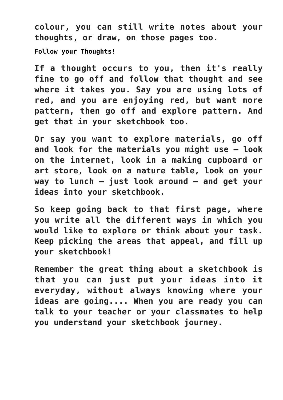**colour, you can still write notes about your thoughts, or draw, on those pages too.**

**Follow your Thoughts!**

**If a thought occurs to you, then it's really fine to go off and follow that thought and see where it takes you. Say you are using lots of red, and you are enjoying red, but want more pattern, then go off and explore pattern. And get that in your sketchbook too.**

**Or say you want to explore materials, go off and look for the materials you might use – look on the internet, look in a making cupboard or art store, look on a nature table, look on your way to lunch – just look around – and get your ideas into your sketchbook.**

**So keep going back to that first page, where you write all the different ways in which you would like to explore or think about your task. Keep picking the areas that appeal, and fill up your sketchbook!**

**Remember the great thing about a sketchbook is that you can just put your ideas into it everyday, without always knowing where your ideas are going.... When you are ready you can talk to your teacher or your classmates to help you understand your sketchbook journey.**